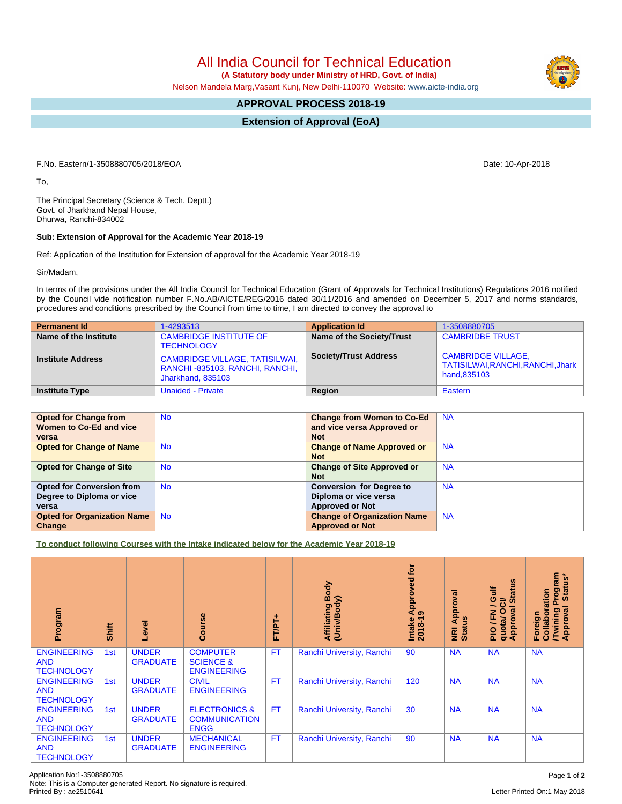All India Council for Technical Education

 **(A Statutory body under Ministry of HRD, Govt. of India)**

Nelson Mandela Marg,Vasant Kunj, New Delhi-110070 Website: [www.aicte-india.org](http://www.aicte-india.org)

## **APPROVAL PROCESS 2018-19**

**Extension of Approval (EoA)**

F.No. Eastern/1-3508880705/2018/EOA Date: 10-Apr-2018

To,

The Principal Secretary (Science & Tech. Deptt.) Govt. of Jharkhand Nepal House, Dhurwa, Ranchi-834002

## **Sub: Extension of Approval for the Academic Year 2018-19**

Ref: Application of the Institution for Extension of approval for the Academic Year 2018-19

Sir/Madam,

In terms of the provisions under the All India Council for Technical Education (Grant of Approvals for Technical Institutions) Regulations 2016 notified by the Council vide notification number F.No.AB/AICTE/REG/2016 dated 30/11/2016 and amended on December 5, 2017 and norms standards, procedures and conditions prescribed by the Council from time to time, I am directed to convey the approval to

| <b>Permanent Id</b>      | 1-4293513                                                                                    | <b>Application Id</b>        | 1-3508880705                                                                   |
|--------------------------|----------------------------------------------------------------------------------------------|------------------------------|--------------------------------------------------------------------------------|
| Name of the Institute    | <b>CAMBRIDGE INSTITUTE OF</b><br><b>TECHNOLOGY</b>                                           | Name of the Society/Trust    | <b>CAMBRIDBE TRUST</b>                                                         |
| <b>Institute Address</b> | <b>CAMBRIDGE VILLAGE, TATISILWAI,</b><br>RANCHI-835103, RANCHI, RANCHI,<br>Jharkhand, 835103 | <b>Society/Trust Address</b> | <b>CAMBRIDGE VILLAGE,</b><br>TATISILWAI, RANCHI, RANCHI, Jhark<br>hand, 835103 |
| <b>Institute Type</b>    | <b>Unaided - Private</b>                                                                     | Region                       | Eastern                                                                        |

| <b>Opted for Change from</b>       | No.       | <b>Change from Women to Co-Ed</b>  | <b>NA</b> |
|------------------------------------|-----------|------------------------------------|-----------|
| Women to Co-Ed and vice            |           | and vice versa Approved or         |           |
| versa                              |           | <b>Not</b>                         |           |
| <b>Opted for Change of Name</b>    | <b>No</b> | <b>Change of Name Approved or</b>  | <b>NA</b> |
|                                    |           | <b>Not</b>                         |           |
| <b>Opted for Change of Site</b>    | <b>No</b> | <b>Change of Site Approved or</b>  | <b>NA</b> |
|                                    |           | <b>Not</b>                         |           |
| <b>Opted for Conversion from</b>   | <b>No</b> | <b>Conversion for Degree to</b>    | <b>NA</b> |
| Degree to Diploma or vice          |           | Diploma or vice versa              |           |
| versa                              |           | <b>Approved or Not</b>             |           |
| <b>Opted for Organization Name</b> | <b>No</b> | <b>Change of Organization Name</b> | <b>NA</b> |
| Change                             |           | <b>Approved or Not</b>             |           |

**To conduct following Courses with the Intake indicated below for the Academic Year 2018-19**

| Program                                               | Shift | Level                           | Course                                                          | FT/PT+    | Body<br>(Univ/Body)<br>Affiliating | for<br>Approved<br>ၜ<br>Intake<br>2018-19 | <b>NRI Approval</b><br>Status | Sn<br><b>Jir</b><br><b>State</b><br>≃<br>∽<br>$\overline{5}$<br>O<br>준<br>Approv<br>quotal<br>∽<br>$\frac{1}{2}$ | Program<br>Status*<br>Collaboration<br>Approval<br>Twining<br>Foreign |
|-------------------------------------------------------|-------|---------------------------------|-----------------------------------------------------------------|-----------|------------------------------------|-------------------------------------------|-------------------------------|------------------------------------------------------------------------------------------------------------------|-----------------------------------------------------------------------|
| <b>ENGINEERING</b><br><b>AND</b><br><b>TECHNOLOGY</b> | 1st   | <b>UNDER</b><br><b>GRADUATE</b> | <b>COMPUTER</b><br><b>SCIENCE &amp;</b><br><b>ENGINEERING</b>   | <b>FT</b> | Ranchi University, Ranchi          | 90                                        | <b>NA</b>                     | <b>NA</b>                                                                                                        | <b>NA</b>                                                             |
| <b>ENGINEERING</b><br><b>AND</b><br><b>TECHNOLOGY</b> | 1st   | <b>UNDER</b><br><b>GRADUATE</b> | <b>CIVIL</b><br><b>ENGINEERING</b>                              | <b>FT</b> | Ranchi University, Ranchi          | 120                                       | <b>NA</b>                     | <b>NA</b>                                                                                                        | <b>NA</b>                                                             |
| <b>ENGINEERING</b><br><b>AND</b><br><b>TECHNOLOGY</b> | 1st   | <b>UNDER</b><br><b>GRADUATE</b> | <b>ELECTRONICS &amp;</b><br><b>COMMUNICATION</b><br><b>ENGG</b> | <b>FT</b> | Ranchi University, Ranchi          | 30                                        | <b>NA</b>                     | <b>NA</b>                                                                                                        | <b>NA</b>                                                             |
| <b>ENGINEERING</b><br><b>AND</b><br><b>TECHNOLOGY</b> | 1st   | <b>UNDER</b><br><b>GRADUATE</b> | <b>MECHANICAL</b><br><b>ENGINEERING</b>                         | <b>FT</b> | Ranchi University, Ranchi          | 90                                        | <b>NA</b>                     | <b>NA</b>                                                                                                        | <b>NA</b>                                                             |